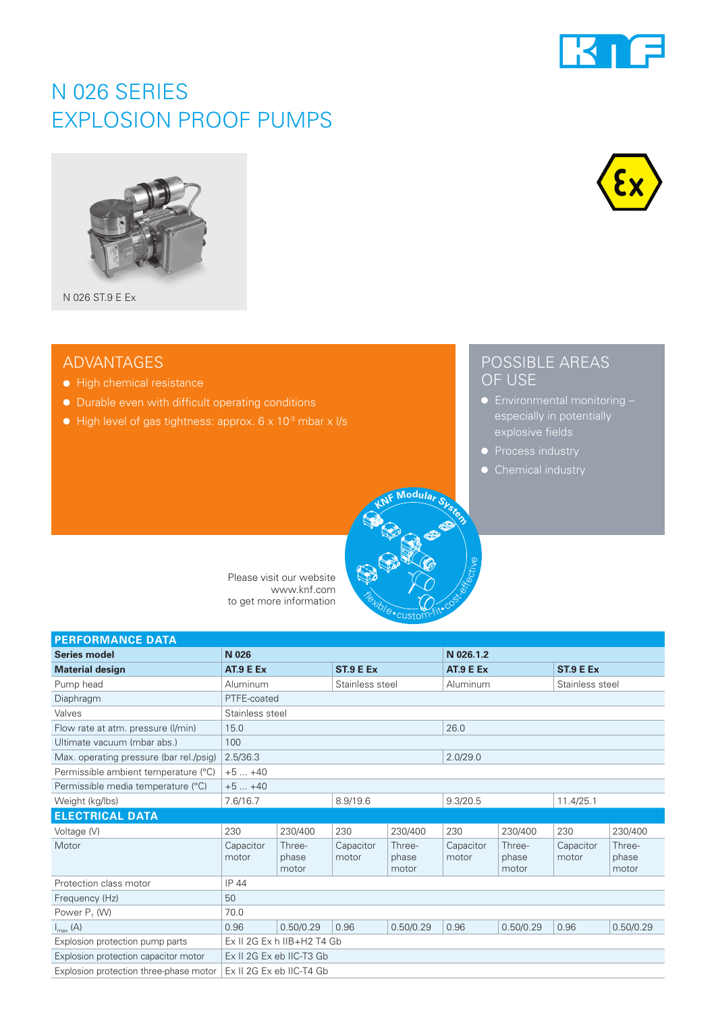

## N 026 SERIES EXPLOSION PROOF PUMPS



N 026 ST.9 E Ex

### ADVANTAGES

- High chemical resistance
- Durable even with difficult operating conditions
- $\bullet$  High level of gas tightness: approx. 6 x 10<sup>-3</sup> mbar x l/s



### POSSIBLE AREAS OF USE

- especially in potentially explosive fields
- 
- Chemical industry



| <b>PERFORMANCE DATA</b>                 |                              |                          |                    |                          |                    |                          |                       |                          |  |
|-----------------------------------------|------------------------------|--------------------------|--------------------|--------------------------|--------------------|--------------------------|-----------------------|--------------------------|--|
| <b>Series model</b>                     | N 026                        |                          |                    | N 026.1.2                |                    |                          |                       |                          |  |
| <b>Material design</b>                  | AT.9 E Ex                    |                          | ST.9 E Ex          |                          | AT.9 E Ex          |                          | ST <sub>.9</sub> E Ex |                          |  |
| Pump head                               | Aluminum                     |                          | Stainless steel    |                          | Aluminum           |                          | Stainless steel       |                          |  |
| Diaphragm                               | PTFE-coated                  |                          |                    |                          |                    |                          |                       |                          |  |
| Valves                                  | Stainless steel              |                          |                    |                          |                    |                          |                       |                          |  |
| Flow rate at atm. pressure (I/min)      | 15.0                         |                          |                    | 26.0                     |                    |                          |                       |                          |  |
| Ultimate vacuum (mbar abs.)             | 100                          |                          |                    |                          |                    |                          |                       |                          |  |
| Max. operating pressure (bar rel./psig) | 2.5/36.3                     |                          |                    | 2.0/29.0                 |                    |                          |                       |                          |  |
| Permissible ambient temperature (°C)    | $+5+40$                      |                          |                    |                          |                    |                          |                       |                          |  |
| Permissible media temperature (°C)      | $+5+40$                      |                          |                    |                          |                    |                          |                       |                          |  |
| Weight (kg/lbs)                         | 7.6/16.7                     |                          | 8.9/19.6           |                          | 9.3/20.5           |                          | 11.4/25.1             |                          |  |
| <b>ELECTRICAL DATA</b>                  |                              |                          |                    |                          |                    |                          |                       |                          |  |
| Voltage (V)                             | 230                          | 230/400                  | 230                | 230/400                  | 230                | 230/400                  | 230                   | 230/400                  |  |
| Motor                                   | Capacitor<br>motor           | Three-<br>phase<br>motor | Capacitor<br>motor | Three-<br>phase<br>motor | Capacitor<br>motor | Three-<br>phase<br>motor | Capacitor<br>motor    | Three-<br>phase<br>motor |  |
| Protection class motor                  | IP 44                        |                          |                    |                          |                    |                          |                       |                          |  |
| Frequency (Hz)                          | 50                           |                          |                    |                          |                    |                          |                       |                          |  |
| Power $P_1$ (W)                         | 70.0                         |                          |                    |                          |                    |                          |                       |                          |  |
| $I_{\max}$ (A)                          | 0.96                         | 0.50/0.29                | 0.96               | 0.50/0.29                | 0.96               | 0.50/0.29                | 0.96                  | 0.50/0.29                |  |
| Explosion protection pump parts         | $Ex$ II 2G Ex h IIB+H2 T4 Gb |                          |                    |                          |                    |                          |                       |                          |  |
| Explosion protection capacitor motor    | Ex II 2G Ex eb IIC-T3 Gb     |                          |                    |                          |                    |                          |                       |                          |  |
| Explosion protection three-phase motor  | Ex II 2G Ex eb IIC-T4 Gb     |                          |                    |                          |                    |                          |                       |                          |  |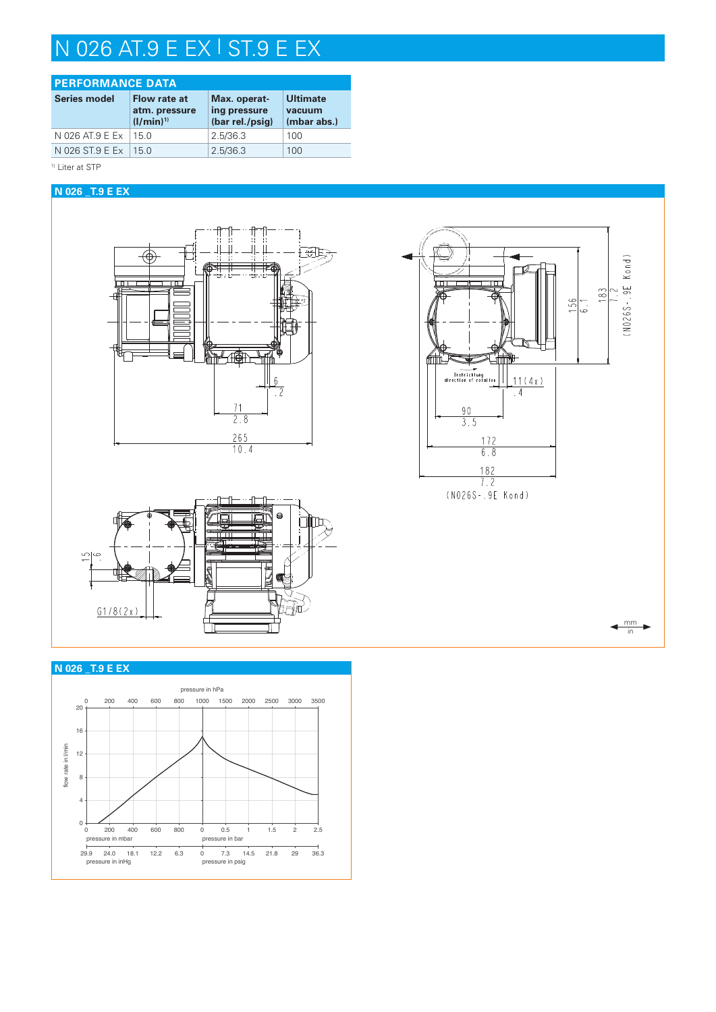## N 026 AT.9 E EX | ST.9 E EX

| <b>PERFORMANCE DATA</b> |                                                       |                                                 |                                          |  |  |  |  |
|-------------------------|-------------------------------------------------------|-------------------------------------------------|------------------------------------------|--|--|--|--|
| <b>Series model</b>     | <b>Flow rate at</b><br>atm. pressure<br>$(I/min)^{1}$ | Max. operat-<br>ing pressure<br>(bar rel./psig) | <b>Ultimate</b><br>vacuum<br>(mbar abs.) |  |  |  |  |
| N 026 AT.9 E Ex         | 15 O                                                  | 2.5/36.3                                        | 100                                      |  |  |  |  |
| N 026 ST.9 E Ex         | 150                                                   | 2.5/36.3                                        | 100                                      |  |  |  |  |

#### <sup>1)</sup> Liter at STP

#### **N 026 \_T.9 E EX**









mm in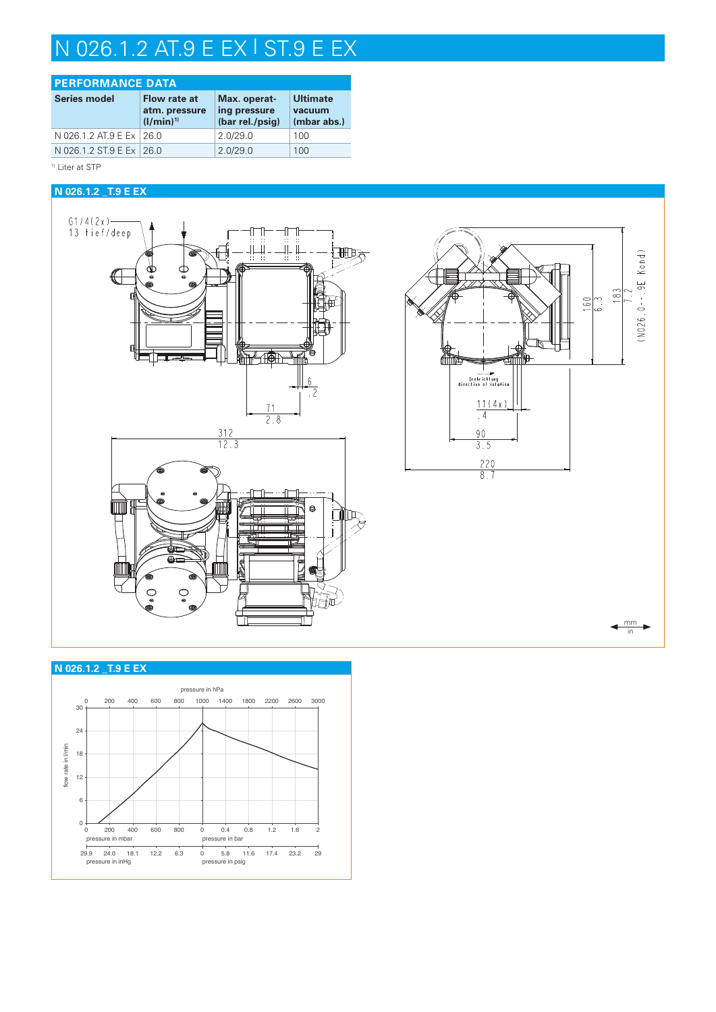# N 026.1.2 AT.9 E EX | ST.9 E EX

| <b>PERFORMANCE DATA</b>    |                                                 |                                                 |                                          |  |  |  |  |
|----------------------------|-------------------------------------------------|-------------------------------------------------|------------------------------------------|--|--|--|--|
| <b>Series model</b>        | Flow rate at<br>atm. pressure<br>$(1/\min)^{1}$ | Max. operat-<br>ing pressure<br>(bar rel./psig) | <b>Ultimate</b><br>vacuum<br>(mbar abs.) |  |  |  |  |
| N 026.1.2 AT.9 E Ex   26.0 |                                                 | 2.0/29.0                                        | 100                                      |  |  |  |  |
| N 026.1.2 ST.9 E Ex   26.0 |                                                 | 2.0/29.0                                        | 100                                      |  |  |  |  |

<sup>1)</sup> Liter at STP

#### **N 026.1.2 \_T.9 E EX**